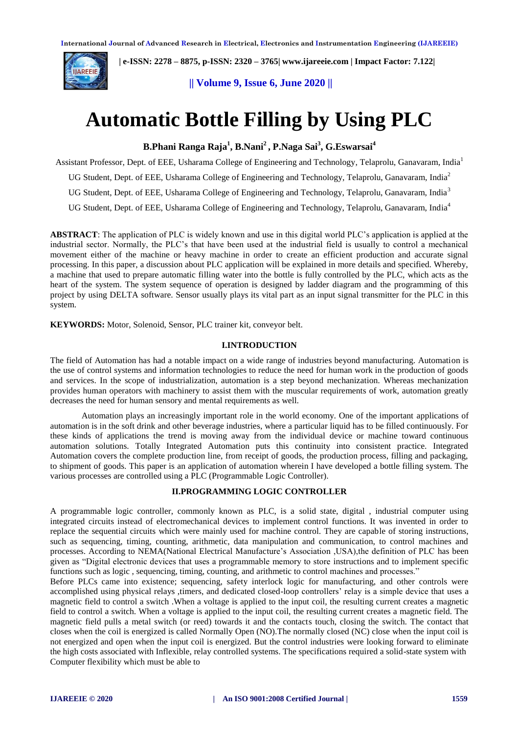

 **| e-ISSN: 2278 – 8875, p-ISSN: 2320 – 3765[| www.ijareeie.com](http://www.ijareeie.com/) | Impact Factor: 7.122|** 

**|| Volume 9, Issue 6, June 2020 ||** 

# **Automatic Bottle Filling by Using PLC**

**B.Phani Ranga Raja<sup>1</sup> , B.Nani<sup>2</sup> , P.Naga Sai<sup>3</sup> , G.Eswarsai<sup>4</sup>**

Assistant Professor, Dept. of EEE, Usharama College of Engineering and Technology, Telaprolu, Ganavaram, India<sup>1</sup>

UG Student, Dept. of EEE, Usharama College of Engineering and Technology, Telaprolu, Ganavaram, India<sup>2</sup>

UG Student, Dept. of EEE, Usharama College of Engineering and Technology, Telaprolu, Ganavaram, India<sup>3</sup>

UG Student, Dept. of EEE, Usharama College of Engineering and Technology, Telaprolu, Ganavaram, India<sup>4</sup>

**ABSTRACT**: The application of PLC is widely known and use in this digital world PLC's application is applied at the industrial sector. Normally, the PLC's that have been used at the industrial field is usually to control a mechanical movement either of the machine or heavy machine in order to create an efficient production and accurate signal processing. In this paper, a discussion about PLC application will be explained in more details and specified. Whereby, a machine that used to prepare automatic filling water into the bottle is fully controlled by the PLC, which acts as the heart of the system. The system sequence of operation is designed by ladder diagram and the programming of this project by using DELTA software. Sensor usually plays its vital part as an input signal transmitter for the PLC in this system.

**KEYWORDS:** Motor, Solenoid, Sensor, PLC trainer kit, conveyor belt.

#### **I.INTRODUCTION**

The field of Automation has had a notable impact on a wide range of industries beyond manufacturing. Automation is the use of control systems and information technologies to reduce the need for human work in the production of goods and services. In the scope of industrialization, automation is a step beyond mechanization. Whereas mechanization provides human operators with machinery to assist them with the muscular requirements of work, automation greatly decreases the need for human sensory and mental requirements as well.

Automation plays an increasingly important role in the world economy. One of the important applications of automation is in the soft drink and other beverage industries, where a particular liquid has to be filled continuously. For these kinds of applications the trend is moving away from the individual device or machine toward continuous automation solutions. Totally Integrated Automation puts this continuity into consistent practice. Integrated Automation covers the complete production line, from receipt of goods, the production process, filling and packaging, to shipment of goods. This paper is an application of automation wherein I have developed a bottle filling system. The various processes are controlled using a PLC (Programmable Logic Controller).

## **II.PROGRAMMING LOGIC CONTROLLER**

A programmable logic controller, commonly known as PLC, is a solid state, digital , industrial computer using integrated circuits instead of electromechanical devices to implement control functions. It was invented in order to replace the sequential circuits which were mainly used for machine control. They are capable of storing instructions, such as sequencing, timing, counting, arithmetic, data manipulation and communication, to control machines and processes. According to NEMA(National Electrical Manufacture's Association ,USA),the definition of PLC has been given as "Digital electronic devices that uses a programmable memory to store instructions and to implement specific functions such as logic , sequencing, timing, counting, and arithmetic to control machines and processes."

Before PLCs came into existence; sequencing, safety interlock logic for manufacturing, and other controls were accomplished using physical relays ,timers, and dedicated closed-loop controllers' relay is a simple device that uses a magnetic field to control a switch .When a voltage is applied to the input coil, the resulting current creates a magnetic field to control a switch. When a voltage is applied to the input coil, the resulting current creates a magnetic field. The magnetic field pulls a metal switch (or reed) towards it and the contacts touch, closing the switch. The contact that closes when the coil is energized is called Normally Open (NO).The normally closed (NC) close when the input coil is not energized and open when the input coil is energized. But the control industries were looking forward to eliminate the high costs associated with Inflexible, relay controlled systems. The specifications required a solid-state system with Computer flexibility which must be able to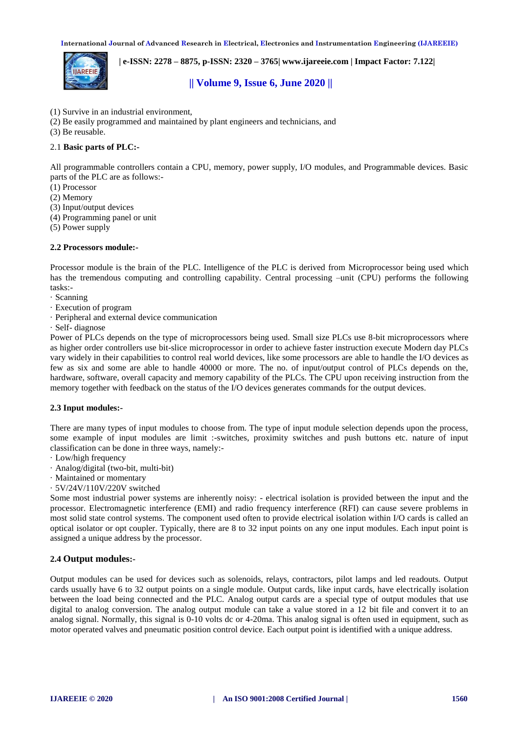

 **| e-ISSN: 2278 – 8875, p-ISSN: 2320 – 3765[| www.ijareeie.com](http://www.ijareeie.com/) | Impact Factor: 7.122|** 

# **|| Volume 9, Issue 6, June 2020 ||**

- (1) Survive in an industrial environment,
- (2) Be easily programmed and maintained by plant engineers and technicians, and
- (3) Be reusable.

## 2.1 **Basic parts of PLC:-**

All programmable controllers contain a CPU, memory, power supply, I/O modules, and Programmable devices. Basic parts of the PLC are as follows:-

- (1) Processor
- (2) Memory
- (3) Input/output devices
- (4) Programming panel or unit
- (5) Power supply

## **2.2 Processors module:-**

Processor module is the brain of the PLC. Intelligence of the PLC is derived from Microprocessor being used which has the tremendous computing and controlling capability. Central processing –unit (CPU) performs the following tasks:-

- · Scanning
- · Execution of program
- · Peripheral and external device communication
- · Self- diagnose

Power of PLCs depends on the type of microprocessors being used. Small size PLCs use 8-bit microprocessors where as higher order controllers use bit-slice microprocessor in order to achieve faster instruction execute Modern day PLCs vary widely in their capabilities to control real world devices, like some processors are able to handle the I/O devices as few as six and some are able to handle 40000 or more. The no. of input/output control of PLCs depends on the, hardware, software, overall capacity and memory capability of the PLCs. The CPU upon receiving instruction from the memory together with feedback on the status of the I/O devices generates commands for the output devices.

#### **2.3 Input modules:-**

There are many types of input modules to choose from. The type of input module selection depends upon the process, some example of input modules are limit :-switches, proximity switches and push buttons etc. nature of input classification can be done in three ways, namely:-

- · Low/high frequency
- · Analog/digital (two-bit, multi-bit)
- · Maintained or momentary
- · 5V/24V/110V/220V switched

Some most industrial power systems are inherently noisy: - electrical isolation is provided between the input and the processor. Electromagnetic interference (EMI) and radio frequency interference (RFI) can cause severe problems in most solid state control systems. The component used often to provide electrical isolation within I/O cards is called an optical isolator or opt coupler. Typically, there are 8 to 32 input points on any one input modules. Each input point is assigned a unique address by the processor.

## **2.4 Output modules:-**

Output modules can be used for devices such as solenoids, relays, contractors, pilot lamps and led readouts. Output cards usually have 6 to 32 output points on a single module. Output cards, like input cards, have electrically isolation between the load being connected and the PLC. Analog output cards are a special type of output modules that use digital to analog conversion. The analog output module can take a value stored in a 12 bit file and convert it to an analog signal. Normally, this signal is 0-10 volts dc or 4-20ma. This analog signal is often used in equipment, such as motor operated valves and pneumatic position control device. Each output point is identified with a unique address.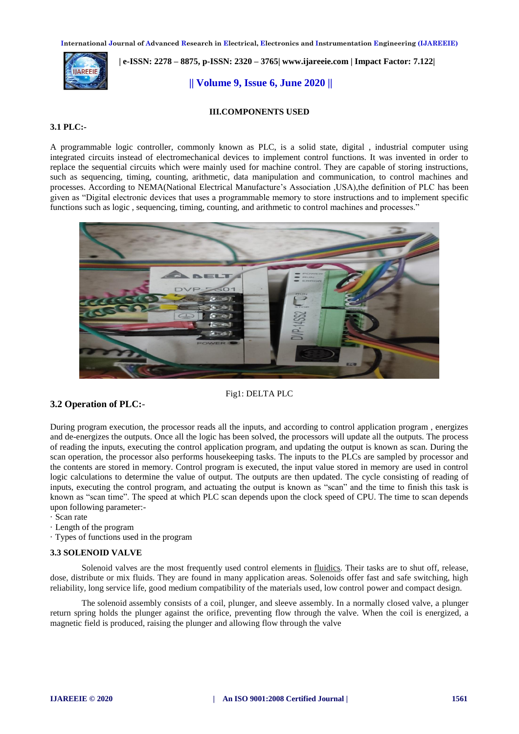

 **| e-ISSN: 2278 – 8875, p-ISSN: 2320 – 3765[| www.ijareeie.com](http://www.ijareeie.com/) | Impact Factor: 7.122|** 

**|| Volume 9, Issue 6, June 2020 ||** 

## **III.COMPONENTS USED**

## **3.1 PLC:-**

A programmable logic controller, commonly known as PLC, is a solid state, digital , industrial computer using integrated circuits instead of electromechanical devices to implement control functions. It was invented in order to replace the sequential circuits which were mainly used for machine control. They are capable of storing instructions, such as sequencing, timing, counting, arithmetic, data manipulation and communication, to control machines and processes. According to NEMA(National Electrical Manufacture's Association ,USA),the definition of PLC has been given as "Digital electronic devices that uses a programmable memory to store instructions and to implement specific functions such as logic , sequencing, timing, counting, and arithmetic to control machines and processes."



#### Fig1: DELTA PLC

## **3.2 Operation of PLC:**-

During program execution, the processor reads all the inputs, and according to control application program , energizes and de-energizes the outputs. Once all the logic has been solved, the processors will update all the outputs. The process of reading the inputs, executing the control application program, and updating the output is known as scan. During the scan operation, the processor also performs housekeeping tasks. The inputs to the PLCs are sampled by processor and the contents are stored in memory. Control program is executed, the input value stored in memory are used in control logic calculations to determine the value of output. The outputs are then updated. The cycle consisting of reading of inputs, executing the control program, and actuating the output is known as "scan" and the time to finish this task is known as "scan time". The speed at which PLC scan depends upon the clock speed of CPU. The time to scan depends upon following parameter:-

- · Scan rate
- · Length of the program
- · Types of functions used in the program

## **3.3 SOLENOID VALVE**

Solenoid valves are the most frequently used control elements in [fluidics.](https://en.wikipedia.org/wiki/Fluidics) Their tasks are to shut off, release, dose, distribute or mix fluids. They are found in many application areas. Solenoids offer fast and safe switching, high reliability, long service life, good medium compatibility of the materials used, low control power and compact design.

The solenoid assembly consists of a coil, plunger, and sleeve assembly. In a normally closed valve, a plunger return spring holds the plunger against the orifice, preventing flow through the valve. When the coil is energized, a magnetic field is produced, raising the plunger and allowing flow through the valve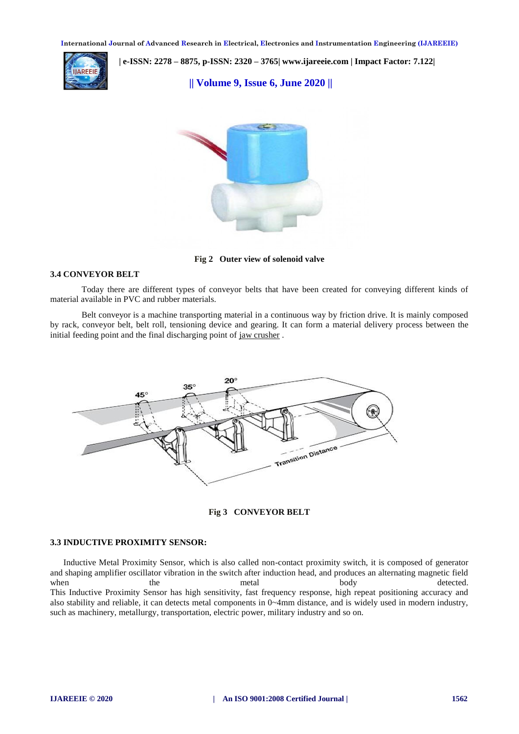

 **| e-ISSN: 2278 – 8875, p-ISSN: 2320 – 3765[| www.ijareeie.com](http://www.ijareeie.com/) | Impact Factor: 7.122|** 

**|| Volume 9, Issue 6, June 2020 ||** 



**Fig 2 Outer view of solenoid valve**

#### **3.4 CONVEYOR BELT**

Today there are different types of conveyor belts that have been created for conveying different kinds of material available in PVC and rubber materials.

 Belt conveyor is a machine transporting material in a continuous way by friction drive. It is mainly composed by rack, conveyor belt, belt roll, tensioning device and gearing. It can form a material delivery process between the initial feeding point and the final discharging point of [jaw crusher](http://www.hxjqcrusher.com/Jaw-crusher.html) .



**Fig 3 CONVEYOR BELT**

#### **3.3 INDUCTIVE PROXIMITY SENSOR:**

 Inductive Metal Proximity Sensor, which is also called non-contact proximity switch, it is composed of generator and shaping amplifier oscillator vibration in the switch after induction head, and produces an alternating magnetic field when the metal body detected. This Inductive Proximity Sensor has high sensitivity, fast frequency response, high repeat positioning accuracy and also stability and reliable, it can detects metal components in 0~4mm distance, and is widely used in modern industry, such as machinery, metallurgy, transportation, electric power, military industry and so on.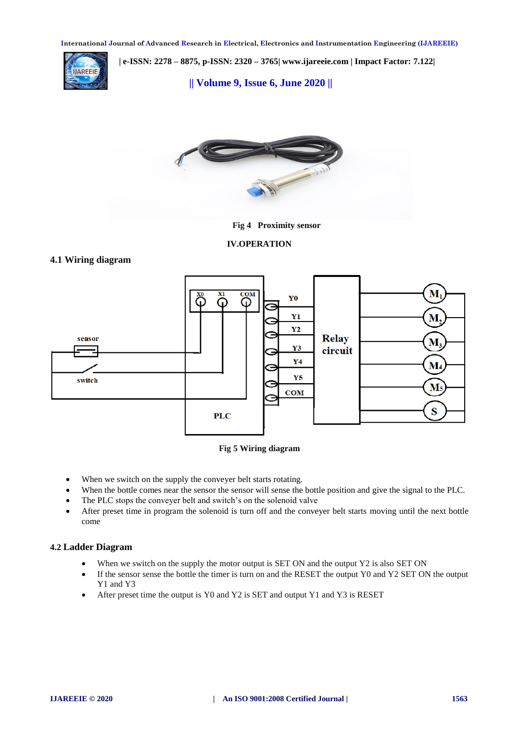

 **| e-ISSN: 2278 – 8875, p-ISSN: 2320 – 3765[| www.ijareeie.com](http://www.ijareeie.com/) | Impact Factor: 7.122|** 

**|| Volume 9, Issue 6, June 2020 ||** 



**Fig 4 Proximity sensor**

**IV.OPERATION**

# **4.1 Wiring diagram**





- When we switch on the supply the conveyer belt starts rotating.
- When the bottle comes near the sensor the sensor will sense the bottle position and give the signal to the PLC.
- The PLC stops the conveyer belt and switch's on the solenoid valve
- After preset time in program the solenoid is turn off and the conveyer belt starts moving until the next bottle come

# **4.2 Ladder Diagram**

- When we switch on the supply the motor output is SET ON and the output Y2 is also SET ON
- If the sensor sense the bottle the timer is turn on and the RESET the output Y0 and Y2 SET ON the output Y1 and Y3
- After preset time the output is Y0 and Y2 is SET and output Y1 and Y3 is RESET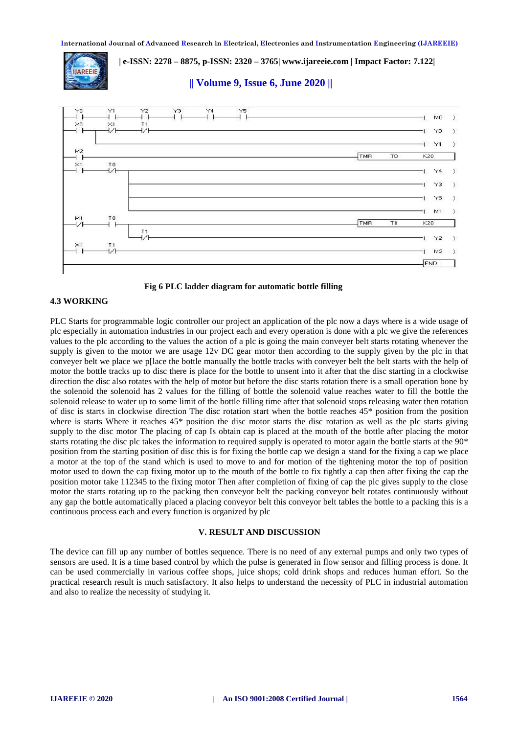**IIAREEIE** 

 **| e-ISSN: 2278 – 8875, p-ISSN: 2320 – 3765[| www.ijareeie.com](http://www.ijareeie.com/) | Impact Factor: 7.122|** 

**|| Volume 9, Issue 6, June 2020 ||** 





## **4.3 WORKING**

PLC Starts for programmable logic controller our project an application of the plc now a days where is a wide usage of plc especially in automation industries in our project each and every operation is done with a plc we give the references values to the plc according to the values the action of a plc is going the main conveyer belt starts rotating whenever the supply is given to the motor we are usage 12v DC gear motor then according to the supply given by the plc in that conveyer belt we place we p[lace the bottle manually the bottle tracks with conveyer belt the belt starts with the help of motor the bottle tracks up to disc there is place for the bottle to unsent into it after that the disc starting in a clockwise direction the disc also rotates with the help of motor but before the disc starts rotation there is a small operation bone by the solenoid the solenoid has 2 values for the filling of bottle the solenoid value reaches water to fill the bottle the solenoid release to water up to some limit of the bottle filling time after that solenoid stops releasing water then rotation of disc is starts in clockwise direction The disc rotation start when the bottle reaches 45\* position from the position where is starts Where it reaches 45<sup>\*</sup> position the disc motor starts the disc rotation as well as the plc starts giving supply to the disc motor The placing of cap Is obtain cap is placed at the mouth of the bottle after placing the motor starts rotating the disc plc takes the information to required supply is operated to motor again the bottle starts at the 90\* position from the starting position of disc this is for fixing the bottle cap we design a stand for the fixing a cap we place a motor at the top of the stand which is used to move to and for motion of the tightening motor the top of position motor used to down the cap fixing motor up to the mouth of the bottle to fix tightly a cap then after fixing the cap the position motor take 112345 to the fixing motor Then after completion of fixing of cap the plc gives supply to the close motor the starts rotating up to the packing then conveyor belt the packing conveyor belt rotates continuously without any gap the bottle automatically placed a placing conveyor belt this conveyor belt tables the bottle to a packing this is a continuous process each and every function is organized by plc

#### **V. RESULT AND DISCUSSION**

The device can fill up any number of bottles sequence. There is no need of any external pumps and only two types of sensors are used. It is a time based control by which the pulse is generated in flow sensor and filling process is done. It can be used commercially in various coffee shops, juice shops; cold drink shops and reduces human effort. So the practical research result is much satisfactory. It also helps to understand the necessity of PLC in industrial automation and also to realize the necessity of studying it.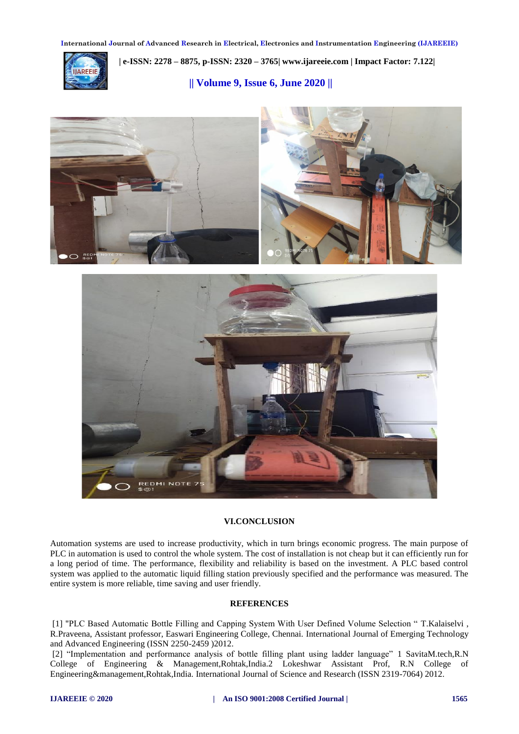

 **| e-ISSN: 2278 – 8875, p-ISSN: 2320 – 3765[| www.ijareeie.com](http://www.ijareeie.com/) | Impact Factor: 7.122|** 

**|| Volume 9, Issue 6, June 2020 ||** 





#### **VI.CONCLUSION**

Automation systems are used to increase productivity, which in turn brings economic progress. The main purpose of PLC in automation is used to control the whole system. The cost of installation is not cheap but it can efficiently run for a long period of time. The performance, flexibility and reliability is based on the investment. A PLC based control system was applied to the automatic liquid filling station previously specified and the performance was measured. The entire system is more reliable, time saving and user friendly.

## **REFERENCES**

[1] "PLC Based Automatic Bottle Filling and Capping System With User Defined Volume Selection " T.Kalaiselvi , R.Praveena, Assistant professor, Easwari Engineering College, Chennai. International Journal of Emerging Technology and Advanced Engineering (ISSN 2250-2459 )2012.

[2] "Implementation and performance analysis of bottle filling plant using ladder language" 1 SavitaM.tech,R.N College of Engineering & Management,Rohtak,India.2 Lokeshwar Assistant Prof, R.N College of Engineering&management,Rohtak,India. International Journal of Science and Research (ISSN 2319-7064) 2012.